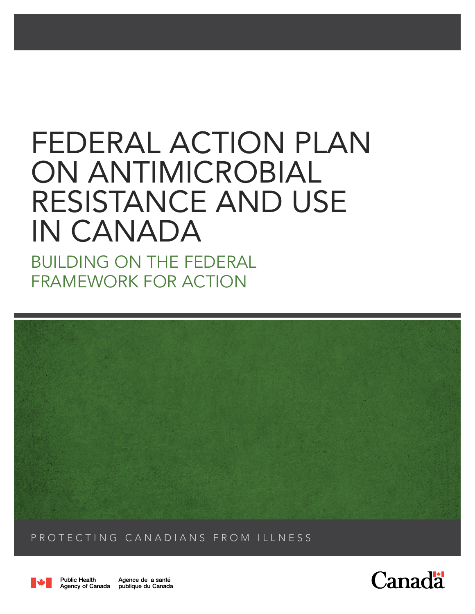# FEDERAL ACTION PLAN ON ANTIMICROBIAL RESISTANCE AND USE IN CANADA

BUILDING ON THE FEDERAL FRAMEWORK FOR ACTION



PROTECTING CANADIANS FROM ILLNESS



**Public Health** Agence de la santé Agency of Canada publique du Canada

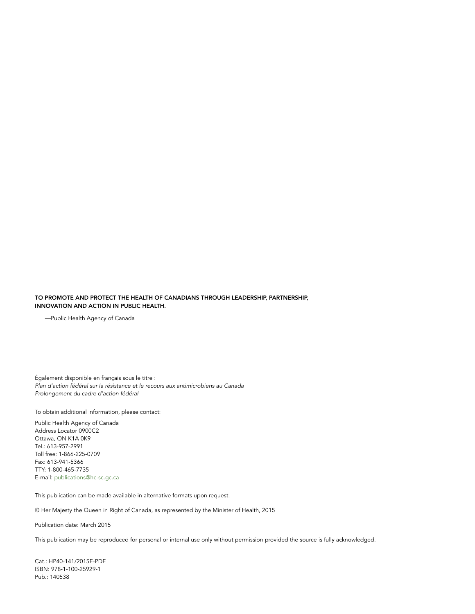#### TO PROMOTE AND PROTECT THE HEALTH OF CANADIANS THROUGH LEADERSHIP, PARTNERSHIP, INNOVATION AND ACTION IN PUBLIC HEALTH.

—Public Health Agency of Canada

Également disponible en français sous le titre : *Plan d'action fédéral sur la résistance et le recours aux antimicrobiens au Canada Prolongement du cadre d'action fédéral*

To obtain additional information, please contact:

Public Health Agency of Canada Address Locator 0900C2 Ottawa, ON K1A 0K9 Tel.: 613-957-2991 Toll free: 1-866-225-0709 Fax: 613-941-5366 TTY: 1-800-465-7735 E-mail: publications@hc-sc.gc.ca

This publication can be made available in alternative formats upon request.

© Her Majesty the Queen in Right of Canada, as represented by the Minister of Health, 2015

Publication date: March 2015

This publication may be reproduced for personal or internal use only without permission provided the source is fully acknowledged.

Cat.: HP40-141/2015E-PDF ISBN: 978-1-100-25929-1 Pub.: 140538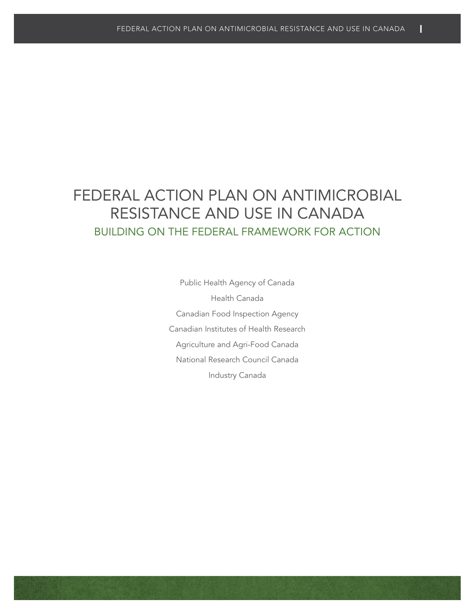### FEDERAL ACTION PLAN ON ANTIMICROBIAL RESISTANCE AND USE IN CANADA BUILDING ON THE FEDERAL FRAMEWORK FOR ACTION

Public Health Agency of Canada Health Canada Canadian Food Inspection Agency Canadian Institutes of Health Research Agriculture and Agri-Food Canada National Research Council Canada Industry Canada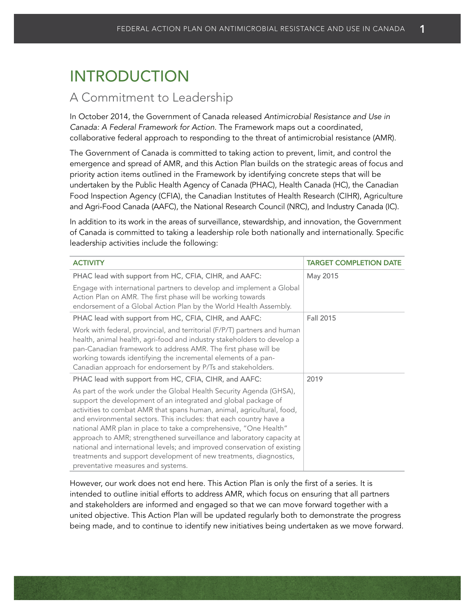### INTRODUCTION

### A Commitment to Leadership

In October 2014, the Government of Canada released *Antimicrobial Resistance and Use in Canada: A Federal Framework for Action*. The Framework maps out a coordinated, collaborative federal approach to responding to the threat of antimicrobial resistance (AMR).

The Government of Canada is committed to taking action to prevent, limit, and control the emergence and spread of AMR, and this Action Plan builds on the strategic areas of focus and priority action items outlined in the Framework by identifying concrete steps that will be undertaken by the Public Health Agency of Canada (PHAC), Health Canada (HC), the Canadian Food Inspection Agency (CFIA), the Canadian Institutes of Health Research (CIHR), Agriculture and Agri-Food Canada (AAFC), the National Research Council (NRC), and Industry Canada (IC).

In addition to its work in the areas of surveillance, stewardship, and innovation, the Government of Canada is committed to taking a leadership role both nationally and internationally. Specific leadership activities include the following:

| <b>ACTIVITY</b>                                                                                                                                                                                                                                                                                                                                                                                                                                                                                                                                                                                                            | <b>TARGET COMPLETION DATE</b> |
|----------------------------------------------------------------------------------------------------------------------------------------------------------------------------------------------------------------------------------------------------------------------------------------------------------------------------------------------------------------------------------------------------------------------------------------------------------------------------------------------------------------------------------------------------------------------------------------------------------------------------|-------------------------------|
| PHAC lead with support from HC, CFIA, CIHR, and AAFC:                                                                                                                                                                                                                                                                                                                                                                                                                                                                                                                                                                      | May 2015                      |
| Engage with international partners to develop and implement a Global<br>Action Plan on AMR. The first phase will be working towards<br>endorsement of a Global Action Plan by the World Health Assembly.                                                                                                                                                                                                                                                                                                                                                                                                                   |                               |
| PHAC lead with support from HC, CFIA, CIHR, and AAFC:                                                                                                                                                                                                                                                                                                                                                                                                                                                                                                                                                                      | Fall 2015                     |
| Work with federal, provincial, and territorial (F/P/T) partners and human<br>health, animal health, agri-food and industry stakeholders to develop a<br>pan-Canadian framework to address AMR. The first phase will be<br>working towards identifying the incremental elements of a pan-<br>Canadian approach for endorsement by P/Ts and stakeholders.                                                                                                                                                                                                                                                                    |                               |
| PHAC lead with support from HC, CFIA, CIHR, and AAFC:                                                                                                                                                                                                                                                                                                                                                                                                                                                                                                                                                                      | 2019                          |
| As part of the work under the Global Health Security Agenda (GHSA),<br>support the development of an integrated and global package of<br>activities to combat AMR that spans human, animal, agricultural, food,<br>and environmental sectors. This includes: that each country have a<br>national AMR plan in place to take a comprehensive, "One Health"<br>approach to AMR; strengthened surveillance and laboratory capacity at<br>national and international levels; and improved conservation of existing<br>treatments and support development of new treatments, diagnostics,<br>preventative measures and systems. |                               |

However, our work does not end here. This Action Plan is only the first of a series. It is intended to outline initial efforts to address AMR, which focus on ensuring that all partners and stakeholders are informed and engaged so that we can move forward together with a united objective. This Action Plan will be updated regularly both to demonstrate the progress being made, and to continue to identify new initiatives being undertaken as we move forward.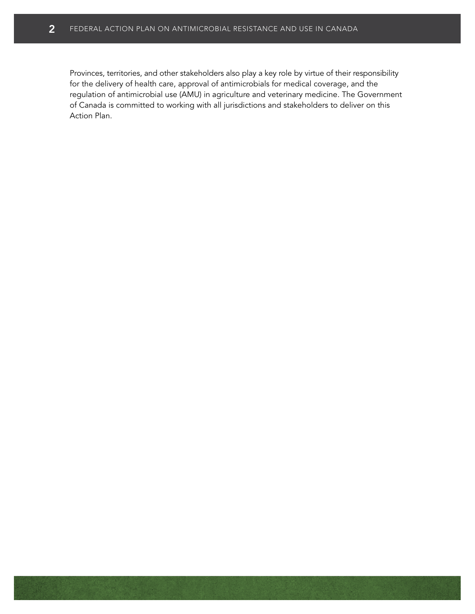Provinces, territories, and other stakeholders also play a key role by virtue of their responsibility for the delivery of health care, approval of antimicrobials for medical coverage, and the regulation of antimicrobial use (AMU) in agriculture and veterinary medicine. The Government of Canada is committed to working with all jurisdictions and stakeholders to deliver on this Action Plan.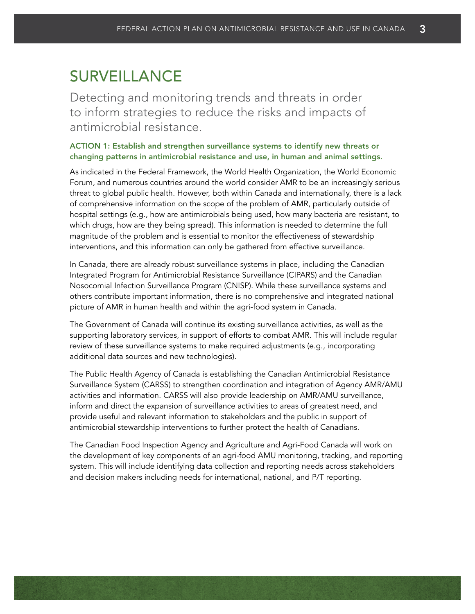## **SURVEILLANCE**

Detecting and monitoring trends and threats in order to inform strategies to reduce the risks and impacts of antimicrobial resistance.

#### ACTION 1: Establish and strengthen surveillance systems to identify new threats or changing patterns in antimicrobial resistance and use, in human and animal settings.

As indicated in the Federal Framework, the World Health Organization, the World Economic Forum, and numerous countries around the world consider AMR to be an increasingly serious threat to global public health. However, both within Canada and internationally, there is a lack of comprehensive information on the scope of the problem of AMR, particularly outside of hospital settings (e.g., how are antimicrobials being used, how many bacteria are resistant, to which drugs, how are they being spread). This information is needed to determine the full magnitude of the problem and is essential to monitor the effectiveness of stewardship interventions, and this information can only be gathered from effective surveillance.

In Canada, there are already robust surveillance systems in place, including the Canadian Integrated Program for Antimicrobial Resistance Surveillance (CIPARS) and the Canadian Nosocomial Infection Surveillance Program (CNISP). While these surveillance systems and others contribute important information, there is no comprehensive and integrated national picture of AMR in human health and within the agri-food system in Canada.

The Government of Canada will continue its existing surveillance activities, as well as the supporting laboratory services, in support of efforts to combat AMR. This will include regular review of these surveillance systems to make required adjustments (e.g., incorporating additional data sources and new technologies).

The Public Health Agency of Canada is establishing the Canadian Antimicrobial Resistance Surveillance System (CARSS) to strengthen coordination and integration of Agency AMR/AMU activities and information. CARSS will also provide leadership on AMR/AMU surveillance, inform and direct the expansion of surveillance activities to areas of greatest need, and provide useful and relevant information to stakeholders and the public in support of antimicrobial stewardship interventions to further protect the health of Canadians.

The Canadian Food Inspection Agency and Agriculture and Agri-Food Canada will work on the development of key components of an agri-food AMU monitoring, tracking, and reporting system. This will include identifying data collection and reporting needs across stakeholders and decision makers including needs for international, national, and P/T reporting.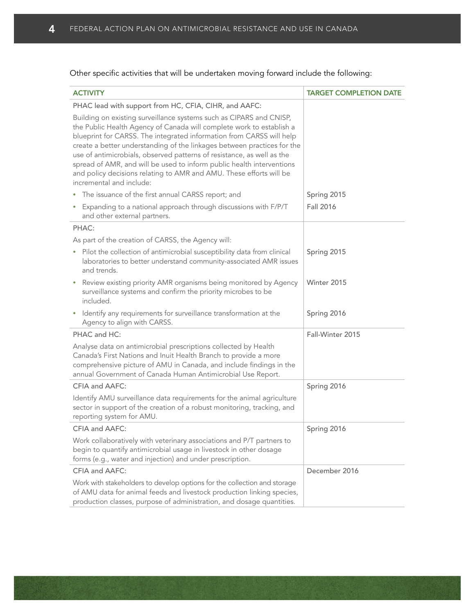#### Other specific activities that will be undertaken moving forward include the following:

| <b>ACTIVITY</b>                                                                                                                                                                                                                                                                                                                                                                                                                                                                                                                                      | <b>TARGET COMPLETION DATE</b> |
|------------------------------------------------------------------------------------------------------------------------------------------------------------------------------------------------------------------------------------------------------------------------------------------------------------------------------------------------------------------------------------------------------------------------------------------------------------------------------------------------------------------------------------------------------|-------------------------------|
| PHAC lead with support from HC, CFIA, CIHR, and AAFC:                                                                                                                                                                                                                                                                                                                                                                                                                                                                                                |                               |
| Building on existing surveillance systems such as CIPARS and CNISP,<br>the Public Health Agency of Canada will complete work to establish a<br>blueprint for CARSS. The integrated information from CARSS will help<br>create a better understanding of the linkages between practices for the<br>use of antimicrobials, observed patterns of resistance, as well as the<br>spread of AMR, and will be used to inform public health interventions<br>and policy decisions relating to AMR and AMU. These efforts will be<br>incremental and include: |                               |
| The issuance of the first annual CARSS report; and                                                                                                                                                                                                                                                                                                                                                                                                                                                                                                   | Spring 2015                   |
| • Expanding to a national approach through discussions with F/P/T<br>and other external partners.                                                                                                                                                                                                                                                                                                                                                                                                                                                    | Fall 2016                     |
| PHAC:                                                                                                                                                                                                                                                                                                                                                                                                                                                                                                                                                |                               |
| As part of the creation of CARSS, the Agency will:                                                                                                                                                                                                                                                                                                                                                                                                                                                                                                   |                               |
| Pilot the collection of antimicrobial susceptibility data from clinical<br>٠<br>laboratories to better understand community-associated AMR issues<br>and trends.                                                                                                                                                                                                                                                                                                                                                                                     | Spring 2015                   |
| • Review existing priority AMR organisms being monitored by Agency<br>surveillance systems and confirm the priority microbes to be<br>included.                                                                                                                                                                                                                                                                                                                                                                                                      | Winter 2015                   |
| Identify any requirements for surveillance transformation at the<br>Agency to align with CARSS.                                                                                                                                                                                                                                                                                                                                                                                                                                                      | Spring 2016                   |
| PHAC and HC:                                                                                                                                                                                                                                                                                                                                                                                                                                                                                                                                         | Fall-Winter 2015              |
| Analyse data on antimicrobial prescriptions collected by Health<br>Canada's First Nations and Inuit Health Branch to provide a more<br>comprehensive picture of AMU in Canada, and include findings in the<br>annual Government of Canada Human Antimicrobial Use Report.                                                                                                                                                                                                                                                                            |                               |
| CFIA and AAFC:                                                                                                                                                                                                                                                                                                                                                                                                                                                                                                                                       | Spring 2016                   |
| Identify AMU surveillance data requirements for the animal agriculture<br>sector in support of the creation of a robust monitoring, tracking, and<br>reporting system for AMU.                                                                                                                                                                                                                                                                                                                                                                       |                               |
| CFIA and AAFC:                                                                                                                                                                                                                                                                                                                                                                                                                                                                                                                                       | Spring 2016                   |
| Work collaboratively with veterinary associations and P/T partners to<br>begin to quantify antimicrobial usage in livestock in other dosage<br>forms (e.g., water and injection) and under prescription.                                                                                                                                                                                                                                                                                                                                             |                               |
| CFIA and AAFC:                                                                                                                                                                                                                                                                                                                                                                                                                                                                                                                                       | December 2016                 |
| Work with stakeholders to develop options for the collection and storage<br>of AMU data for animal feeds and livestock production linking species,<br>production classes, purpose of administration, and dosage quantities.                                                                                                                                                                                                                                                                                                                          |                               |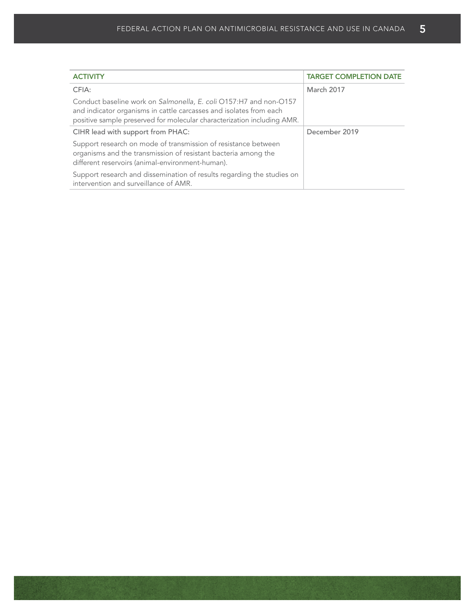| <b>ACTIVITY</b>                                                                                                                                                                                                    | <b>TARGET COMPLETION DATE</b> |
|--------------------------------------------------------------------------------------------------------------------------------------------------------------------------------------------------------------------|-------------------------------|
| CFIA:                                                                                                                                                                                                              | March 2017                    |
| Conduct baseline work on Salmonella, E. coli O157:H7 and non-O157<br>and indicator organisms in cattle carcasses and isolates from each<br>positive sample preserved for molecular characterization including AMR. |                               |
| CIHR lead with support from PHAC:                                                                                                                                                                                  | December 2019                 |
| Support research on mode of transmission of resistance between<br>organisms and the transmission of resistant bacteria among the<br>different reservoirs (animal-environment-human).                               |                               |
| Support research and dissemination of results regarding the studies on<br>intervention and surveillance of AMR.                                                                                                    |                               |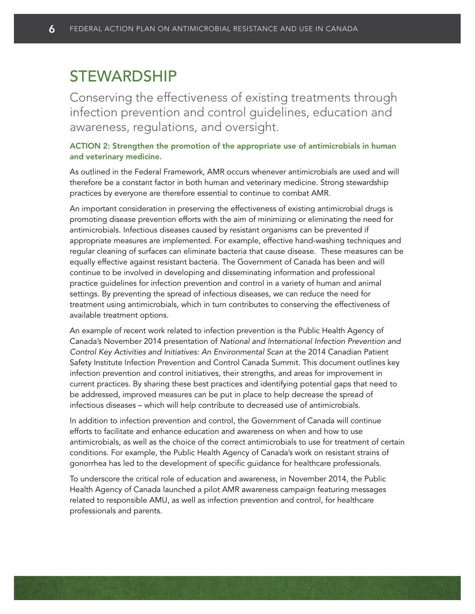### STEWARDSHIP

Conserving the effectiveness of existing treatments through infection prevention and control guidelines, education and awareness, regulations, and oversight.

#### ACTION 2: Strengthen the promotion of the appropriate use of antimicrobials in human and veterinary medicine.

As outlined in the Federal Framework, AMR occurs whenever antimicrobials are used and will therefore be a constant factor in both human and veterinary medicine. Strong stewardship practices by everyone are therefore essential to continue to combat AMR.

An important consideration in preserving the effectiveness of existing antimicrobial drugs is promoting disease prevention efforts with the aim of minimizing or eliminating the need for antimicrobials. Infectious diseases caused by resistant organisms can be prevented if appropriate measures are implemented. For example, effective hand-washing techniques and regular cleaning of surfaces can eliminate bacteria that cause disease. These measures can be equally effective against resistant bacteria. The Government of Canada has been and will continue to be involved in developing and disseminating information and professional practice guidelines for infection prevention and control in a variety of human and animal settings. By preventing the spread of infectious diseases, we can reduce the need for treatment using antimicrobials, which in turn contributes to conserving the effectiveness of available treatment options.

An example of recent work related to infection prevention is the Public Health Agency of Canada's November 2014 presentation of *National and International Infection Prevention and Control Key Activities and Initiatives: An Environmental Scan* at the 2014 Canadian Patient Safety Institute Infection Prevention and Control Canada Summit. This document outlines key infection prevention and control initiatives, their strengths, and areas for improvement in current practices. By sharing these best practices and identifying potential gaps that need to be addressed, improved measures can be put in place to help decrease the spread of infectious diseases – which will help contribute to decreased use of antimicrobials.

In addition to infection prevention and control, the Government of Canada will continue efforts to facilitate and enhance education and awareness on when and how to use antimicrobials, as well as the choice of the correct antimicrobials to use for treatment of certain conditions. For example, the Public Health Agency of Canada's work on resistant strains of gonorrhea has led to the development of specific guidance for healthcare professionals.

To underscore the critical role of education and awareness, in November 2014, the Public Health Agency of Canada launched a pilot AMR awareness campaign featuring messages related to responsible AMU, as well as infection prevention and control, for healthcare professionals and parents.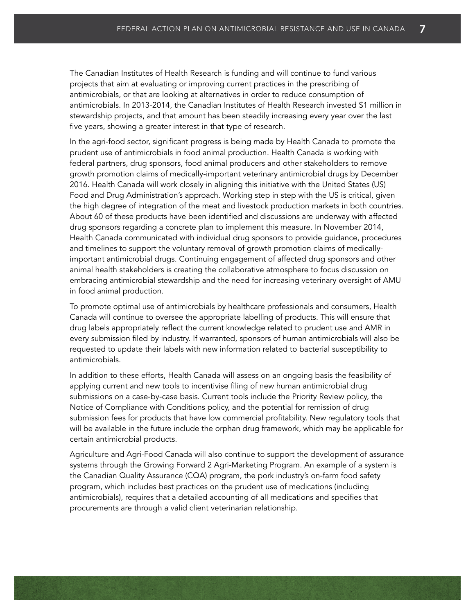The Canadian Institutes of Health Research is funding and will continue to fund various projects that aim at evaluating or improving current practices in the prescribing of antimicrobials, or that are looking at alternatives in order to reduce consumption of antimicrobials. In 2013-2014, the Canadian Institutes of Health Research invested \$1 million in stewardship projects, and that amount has been steadily increasing every year over the last five years, showing a greater interest in that type of research.

In the agri-food sector, significant progress is being made by Health Canada to promote the prudent use of antimicrobials in food animal production. Health Canada is working with federal partners, drug sponsors, food animal producers and other stakeholders to remove growth promotion claims of medically-important veterinary antimicrobial drugs by December 2016. Health Canada will work closely in aligning this initiative with the United States (US) Food and Drug Administration's approach. Working step in step with the US is critical, given the high degree of integration of the meat and livestock production markets in both countries. About 60 of these products have been identified and discussions are underway with affected drug sponsors regarding a concrete plan to implement this measure. In November 2014, Health Canada communicated with individual drug sponsors to provide guidance, procedures and timelines to support the voluntary removal of growth promotion claims of medicallyimportant antimicrobial drugs. Continuing engagement of affected drug sponsors and other animal health stakeholders is creating the collaborative atmosphere to focus discussion on embracing antimicrobial stewardship and the need for increasing veterinary oversight of AMU in food animal production.

To promote optimal use of antimicrobials by healthcare professionals and consumers, Health Canada will continue to oversee the appropriate labelling of products. This will ensure that drug labels appropriately reflect the current knowledge related to prudent use and AMR in every submission filed by industry. If warranted, sponsors of human antimicrobials will also be requested to update their labels with new information related to bacterial susceptibility to antimicrobials.

In addition to these efforts, Health Canada will assess on an ongoing basis the feasibility of applying current and new tools to incentivise filing of new human antimicrobial drug submissions on a case-by-case basis. Current tools include the Priority Review policy, the Notice of Compliance with Conditions policy, and the potential for remission of drug submission fees for products that have low commercial profitability. New regulatory tools that will be available in the future include the orphan drug framework, which may be applicable for certain antimicrobial products.

Agriculture and Agri-Food Canada will also continue to support the development of assurance systems through the Growing Forward 2 Agri-Marketing Program. An example of a system is the Canadian Quality Assurance (CQA) program, the pork industry's on-farm food safety program, which includes best practices on the prudent use of medications (including antimicrobials), requires that a detailed accounting of all medications and specifies that procurements are through a valid client veterinarian relationship.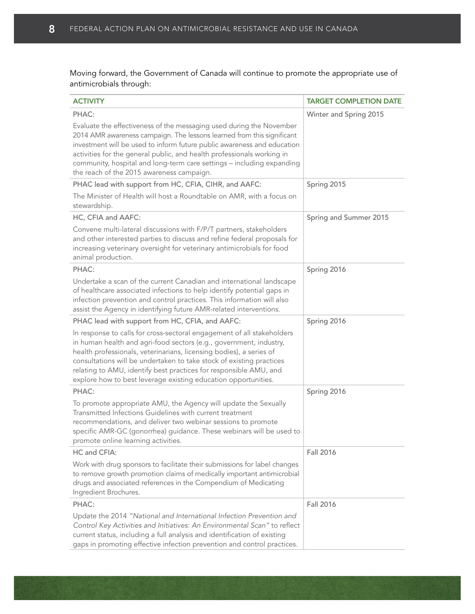Moving forward, the Government of Canada will continue to promote the appropriate use of antimicrobials through:

| <b>ACTIVITY</b>                                                                                                                                                                                                                                                                                                                                                                                                                    | <b>TARGET COMPLETION DATE</b> |
|------------------------------------------------------------------------------------------------------------------------------------------------------------------------------------------------------------------------------------------------------------------------------------------------------------------------------------------------------------------------------------------------------------------------------------|-------------------------------|
| PHAC:                                                                                                                                                                                                                                                                                                                                                                                                                              | Winter and Spring 2015        |
| Evaluate the effectiveness of the messaging used during the November<br>2014 AMR awareness campaign. The lessons learned from this significant<br>investment will be used to inform future public awareness and education<br>activities for the general public, and health professionals working in<br>community, hospital and long-term care settings - including expanding<br>the reach of the 2015 awareness campaign.          |                               |
| PHAC lead with support from HC, CFIA, CIHR, and AAFC:                                                                                                                                                                                                                                                                                                                                                                              | Spring 2015                   |
| The Minister of Health will host a Roundtable on AMR, with a focus on<br>stewardship.                                                                                                                                                                                                                                                                                                                                              |                               |
| HC, CFIA and AAFC:                                                                                                                                                                                                                                                                                                                                                                                                                 | Spring and Summer 2015        |
| Convene multi-lateral discussions with F/P/T partners, stakeholders<br>and other interested parties to discuss and refine federal proposals for<br>increasing veterinary oversight for veterinary antimicrobials for food<br>animal production.                                                                                                                                                                                    |                               |
| PHAC:                                                                                                                                                                                                                                                                                                                                                                                                                              | Spring 2016                   |
| Undertake a scan of the current Canadian and international landscape<br>of healthcare associated infections to help identify potential gaps in<br>infection prevention and control practices. This information will also<br>assist the Agency in identifying future AMR-related interventions.                                                                                                                                     |                               |
| PHAC lead with support from HC, CFIA, and AAFC:                                                                                                                                                                                                                                                                                                                                                                                    | Spring 2016                   |
| In response to calls for cross-sectoral engagement of all stakeholders<br>in human health and agri-food sectors (e.g., government, industry,<br>health professionals, veterinarians, licensing bodies), a series of<br>consultations will be undertaken to take stock of existing practices<br>relating to AMU, identify best practices for responsible AMU, and<br>explore how to best leverage existing education opportunities. |                               |
| PHAC:                                                                                                                                                                                                                                                                                                                                                                                                                              | Spring 2016                   |
| To promote appropriate AMU, the Agency will update the Sexually<br>Transmitted Infections Guidelines with current treatment<br>recommendations, and deliver two webinar sessions to promote<br>specific AMR-GC (gonorrhea) guidance. These webinars will be used to<br>promote online learning activities.                                                                                                                         |                               |
| HC and CFIA:                                                                                                                                                                                                                                                                                                                                                                                                                       | Fall 2016                     |
| Work with drug sponsors to facilitate their submissions for label changes<br>to remove growth promotion claims of medically important antimicrobial<br>drugs and associated references in the Compendium of Medicating<br>Ingredient Brochures.                                                                                                                                                                                    |                               |
| PHAC:                                                                                                                                                                                                                                                                                                                                                                                                                              | <b>Fall 2016</b>              |
| Update the 2014 "National and International Infection Prevention and<br>Control Key Activities and Initiatives: An Environmental Scan" to reflect<br>current status, including a full analysis and identification of existing<br>gaps in promoting effective infection prevention and control practices.                                                                                                                           |                               |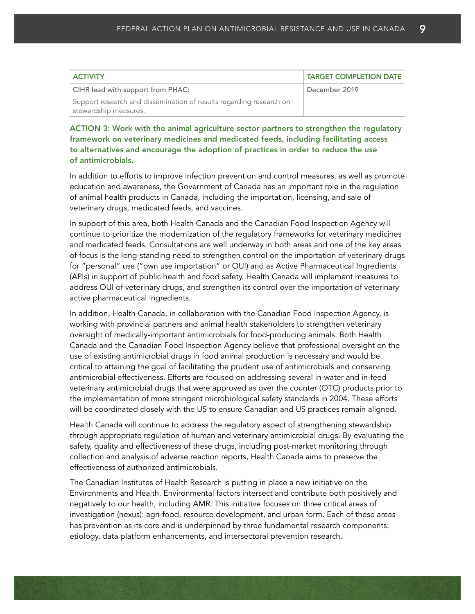| <b>ACTIVITY</b>                                                     | TARGET COMPLETION DATE |
|---------------------------------------------------------------------|------------------------|
| CIHR lead with support from PHAC:                                   | December 2019          |
| Support research and dissemination of results regarding research on |                        |
| stewardship measures.                                               |                        |

ACTION 3: Work with the animal agriculture sector partners to strengthen the regulatory framework on veterinary medicines and medicated feeds, including facilitating access to alternatives and encourage the adoption of practices in order to reduce the use of antimicrobials.

In addition to efforts to improve infection prevention and control measures, as well as promote education and awareness, the Government of Canada has an important role in the regulation of animal health products in Canada, including the importation, licensing, and sale of veterinary drugs, medicated feeds, and vaccines.

In support of this area, both Health Canada and the Canadian Food Inspection Agency will continue to prioritize the modernization of the regulatory frameworks for veterinary medicines and medicated feeds. Consultations are well underway in both areas and one of the key areas of focus is the long-standing need to strengthen control on the importation of veterinary drugs for "personal" use ("own use importation" or OUI) and as Active Pharmaceutical Ingredients (APIs) in support of public health and food safety. Health Canada will implement measures to address OUI of veterinary drugs, and strengthen its control over the importation of veterinary active pharmaceutical ingredients.

In addition, Health Canada, in collaboration with the Canadian Food Inspection Agency, is working with provincial partners and animal health stakeholders to strengthen veterinary oversight of medically-important antimicrobials for food-producing animals. Both Health Canada and the Canadian Food Inspection Agency believe that professional oversight on the use of existing antimicrobial drugs in food animal production is necessary and would be critical to attaining the goal of facilitating the prudent use of antimicrobials and conserving antimicrobial effectiveness. Efforts are focused on addressing several in-water and in-feed veterinary antimicrobial drugs that were approved as over the counter (OTC) products prior to the implementation of more stringent microbiological safety standards in 2004. These efforts will be coordinated closely with the US to ensure Canadian and US practices remain aligned.

Health Canada will continue to address the regulatory aspect of strengthening stewardship through appropriate regulation of human and veterinary antimicrobial drugs. By evaluating the safety, quality and effectiveness of these drugs, including post-market monitoring through collection and analysis of adverse reaction reports, Health Canada aims to preserve the effectiveness of authorized antimicrobials.

The Canadian Institutes of Health Research is putting in place a new initiative on the Environments and Health. Environmental factors intersect and contribute both positively and negatively to our health, including AMR. This initiative focuses on three critical areas of investigation (nexus): agri-food, resource development, and urban form. Each of these areas has prevention as its core and is underpinned by three fundamental research components: etiology, data platform enhancements, and intersectoral prevention research.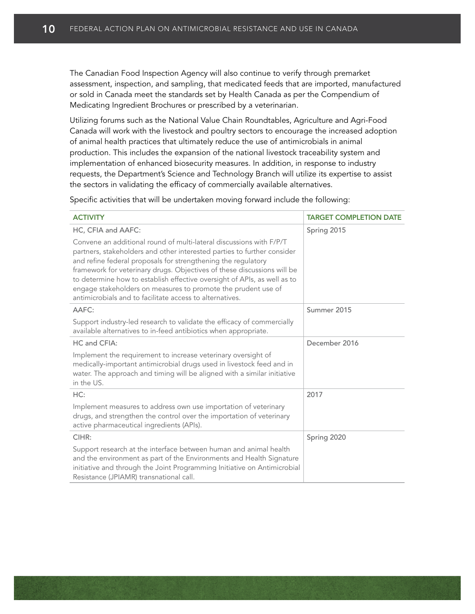The Canadian Food Inspection Agency will also continue to verify through premarket assessment, inspection, and sampling, that medicated feeds that are imported, manufactured or sold in Canada meet the standards set by Health Canada as per the Compendium of Medicating Ingredient Brochures or prescribed by a veterinarian.

Utilizing forums such as the National Value Chain Roundtables, Agriculture and Agri-Food Canada will work with the livestock and poultry sectors to encourage the increased adoption of animal health practices that ultimately reduce the use of antimicrobials in animal production. This includes the expansion of the national livestock traceability system and implementation of enhanced biosecurity measures. In addition, in response to industry requests, the Department's Science and Technology Branch will utilize its expertise to assist the sectors in validating the efficacy of commercially available alternatives.

Specific activities that will be undertaken moving forward include the following:

| <b>ACTIVITY</b>                                                                                                                                                                                                                                                                                                                                                                                                                                                                                     | <b>TARGET COMPLETION DATE</b> |
|-----------------------------------------------------------------------------------------------------------------------------------------------------------------------------------------------------------------------------------------------------------------------------------------------------------------------------------------------------------------------------------------------------------------------------------------------------------------------------------------------------|-------------------------------|
| HC, CFIA and AAFC:                                                                                                                                                                                                                                                                                                                                                                                                                                                                                  | Spring 2015                   |
| Convene an additional round of multi-lateral discussions with F/P/T<br>partners, stakeholders and other interested parties to further consider<br>and refine federal proposals for strengthening the regulatory<br>framework for veterinary drugs. Objectives of these discussions will be<br>to determine how to establish effective oversight of APIs, as well as to<br>engage stakeholders on measures to promote the prudent use of<br>antimicrobials and to facilitate access to alternatives. |                               |
| AAFC:                                                                                                                                                                                                                                                                                                                                                                                                                                                                                               | Summer 2015                   |
| Support industry-led research to validate the efficacy of commercially<br>available alternatives to in-feed antibiotics when appropriate.                                                                                                                                                                                                                                                                                                                                                           |                               |
| HC and CFIA:                                                                                                                                                                                                                                                                                                                                                                                                                                                                                        | December 2016                 |
| Implement the requirement to increase veterinary oversight of<br>medically-important antimicrobial drugs used in livestock feed and in<br>water. The approach and timing will be aligned with a similar initiative<br>in the US.                                                                                                                                                                                                                                                                    |                               |
| HC:                                                                                                                                                                                                                                                                                                                                                                                                                                                                                                 | 2017                          |
| Implement measures to address own use importation of veterinary<br>drugs, and strengthen the control over the importation of veterinary<br>active pharmaceutical ingredients (APIs).                                                                                                                                                                                                                                                                                                                |                               |
| CIHR:                                                                                                                                                                                                                                                                                                                                                                                                                                                                                               | Spring 2020                   |
| Support research at the interface between human and animal health<br>and the environment as part of the Environments and Health Signature<br>initiative and through the Joint Programming Initiative on Antimicrobial<br>Resistance (JPIAMR) transnational call.                                                                                                                                                                                                                                    |                               |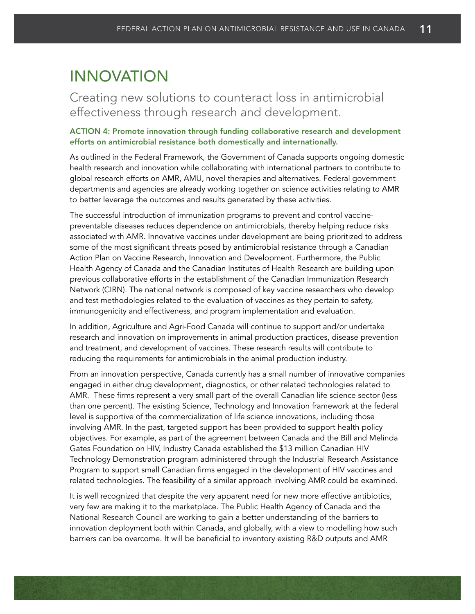### INNOVATION

### Creating new solutions to counteract loss in antimicrobial effectiveness through research and development.

#### ACTION 4: Promote innovation through funding collaborative research and development efforts on antimicrobial resistance both domestically and internationally.

As outlined in the Federal Framework, the Government of Canada supports ongoing domestic health research and innovation while collaborating with international partners to contribute to global research efforts on AMR, AMU, novel therapies and alternatives. Federal government departments and agencies are already working together on science activities relating to AMR to better leverage the outcomes and results generated by these activities.

The successful introduction of immunization programs to prevent and control vaccinepreventable diseases reduces dependence on antimicrobials, thereby helping reduce risks associated with AMR. Innovative vaccines under development are being prioritized to address some of the most significant threats posed by antimicrobial resistance through a Canadian Action Plan on Vaccine Research, Innovation and Development. Furthermore, the Public Health Agency of Canada and the Canadian Institutes of Health Research are building upon previous collaborative efforts in the establishment of the Canadian Immunization Research Network (CIRN). The national network is composed of key vaccine researchers who develop and test methodologies related to the evaluation of vaccines as they pertain to safety, immunogenicity and effectiveness, and program implementation and evaluation.

In addition, Agriculture and Agri-Food Canada will continue to support and/or undertake research and innovation on improvements in animal production practices, disease prevention and treatment, and development of vaccines. These research results will contribute to reducing the requirements for antimicrobials in the animal production industry.

From an innovation perspective, Canada currently has a small number of innovative companies engaged in either drug development, diagnostics, or other related technologies related to AMR. These firms represent a very small part of the overall Canadian life science sector (less than one percent). The existing Science, Technology and Innovation framework at the federal level is supportive of the commercialization of life science innovations, including those involving AMR. In the past, targeted support has been provided to support health policy objectives. For example, as part of the agreement between Canada and the Bill and Melinda Gates Foundation on HIV, Industry Canada established the \$13 million Canadian HIV Technology Demonstration program administered through the Industrial Research Assistance Program to support small Canadian firms engaged in the development of HIV vaccines and related technologies. The feasibility of a similar approach involving AMR could be examined.

It is well recognized that despite the very apparent need for new more effective antibiotics, very few are making it to the marketplace. The Public Health Agency of Canada and the National Research Council are working to gain a better understanding of the barriers to innovation deployment both within Canada, and globally, with a view to modelling how such barriers can be overcome. It will be beneficial to inventory existing R&D outputs and AMR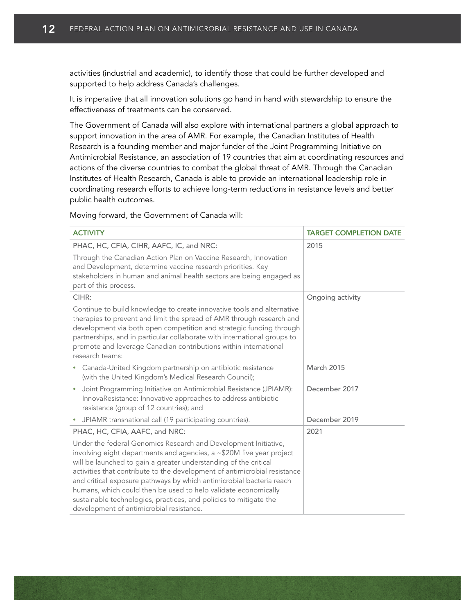activities (industrial and academic), to identify those that could be further developed and supported to help address Canada's challenges.

It is imperative that all innovation solutions go hand in hand with stewardship to ensure the effectiveness of treatments can be conserved.

The Government of Canada will also explore with international partners a global approach to support innovation in the area of AMR. For example, the Canadian Institutes of Health Research is a founding member and major funder of the Joint Programming Initiative on Antimicrobial Resistance, an association of 19 countries that aim at coordinating resources and actions of the diverse countries to combat the global threat of AMR. Through the Canadian Institutes of Health Research, Canada is able to provide an international leadership role in coordinating research efforts to achieve long-term reductions in resistance levels and better public health outcomes.

Moving forward, the Government of Canada will:

| <b>ACTIVITY</b>                                                                                                                                                                                                                                                                                                                                                                                                                                                                                                                                     | <b>TARGET COMPLETION DATE</b> |
|-----------------------------------------------------------------------------------------------------------------------------------------------------------------------------------------------------------------------------------------------------------------------------------------------------------------------------------------------------------------------------------------------------------------------------------------------------------------------------------------------------------------------------------------------------|-------------------------------|
|                                                                                                                                                                                                                                                                                                                                                                                                                                                                                                                                                     |                               |
| PHAC, HC, CFIA, CIHR, AAFC, IC, and NRC:                                                                                                                                                                                                                                                                                                                                                                                                                                                                                                            | 2015                          |
| Through the Canadian Action Plan on Vaccine Research, Innovation<br>and Development, determine vaccine research priorities. Key<br>stakeholders in human and animal health sectors are being engaged as<br>part of this process.                                                                                                                                                                                                                                                                                                                    |                               |
| CIHR:                                                                                                                                                                                                                                                                                                                                                                                                                                                                                                                                               | Ongoing activity              |
| Continue to build knowledge to create innovative tools and alternative<br>therapies to prevent and limit the spread of AMR through research and<br>development via both open competition and strategic funding through<br>partnerships, and in particular collaborate with international groups to<br>promote and leverage Canadian contributions within international<br>research teams:                                                                                                                                                           |                               |
| Canada-United Kingdom partnership on antibiotic resistance<br>٠<br>(with the United Kingdom's Medical Research Council);                                                                                                                                                                                                                                                                                                                                                                                                                            | March 2015                    |
| Joint Programming Initiative on Antimicrobial Resistance (JPIAMR):<br>$\bullet$<br>InnovaResistance: Innovative approaches to address antibiotic<br>resistance (group of 12 countries); and                                                                                                                                                                                                                                                                                                                                                         | December 2017                 |
| JPIAMR transnational call (19 participating countries).<br>$\bullet$                                                                                                                                                                                                                                                                                                                                                                                                                                                                                | December 2019                 |
| PHAC, HC, CFIA, AAFC, and NRC:                                                                                                                                                                                                                                                                                                                                                                                                                                                                                                                      | 2021                          |
| Under the federal Genomics Research and Development Initiative,<br>involving eight departments and agencies, a ~\$20M five year project<br>will be launched to gain a greater understanding of the critical<br>activities that contribute to the development of antimicrobial resistance<br>and critical exposure pathways by which antimicrobial bacteria reach<br>humans, which could then be used to help validate economically<br>sustainable technologies, practices, and policies to mitigate the<br>development of antimicrobial resistance. |                               |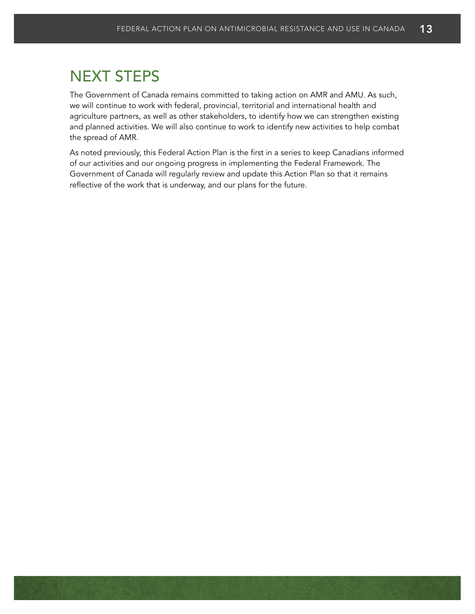# NEXT STEPS

The Government of Canada remains committed to taking action on AMR and AMU. As such, we will continue to work with federal, provincial, territorial and international health and agriculture partners, as well as other stakeholders, to identify how we can strengthen existing and planned activities. We will also continue to work to identify new activities to help combat the spread of AMR.

As noted previously, this Federal Action Plan is the first in a series to keep Canadians informed of our activities and our ongoing progress in implementing the Federal Framework. The Government of Canada will regularly review and update this Action Plan so that it remains reflective of the work that is underway, and our plans for the future.